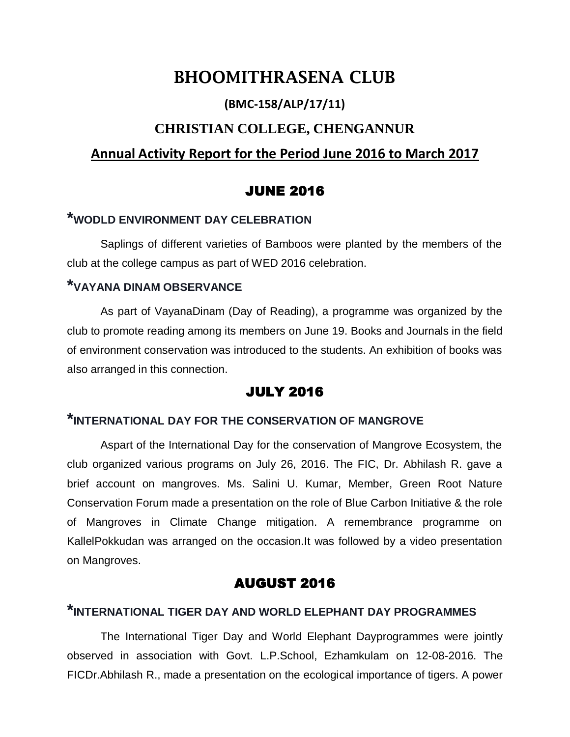# **BHOOMITHRASENA CLUB**

## **(BMC-158/ALP/17/11)**

## **CHRISTIAN COLLEGE, CHENGANNUR**

## **Annual Activity Report for the Period June 2016 to March 2017**

## JUNE 2016

## **\*WODLD ENVIRONMENT DAY CELEBRATION**

Saplings of different varieties of Bamboos were planted by the members of the club at the college campus as part of WED 2016 celebration.

### **\*VAYANA DINAM OBSERVANCE**

As part of VayanaDinam (Day of Reading), a programme was organized by the club to promote reading among its members on June 19. Books and Journals in the field of environment conservation was introduced to the students. An exhibition of books was also arranged in this connection.

## JULY 2016

### **\*INTERNATIONAL DAY FOR THE CONSERVATION OF MANGROVE**

Aspart of the International Day for the conservation of Mangrove Ecosystem, the club organized various programs on July 26, 2016. The FIC, Dr. Abhilash R. gave a brief account on mangroves. Ms. Salini U. Kumar, Member, Green Root Nature Conservation Forum made a presentation on the role of Blue Carbon Initiative & the role of Mangroves in Climate Change mitigation. A remembrance programme on KallelPokkudan was arranged on the occasion.It was followed by a video presentation on Mangroves.

## AUGUST 2016

## **\*INTERNATIONAL TIGER DAY AND WORLD ELEPHANT DAY PROGRAMMES**

The International Tiger Day and World Elephant Dayprogrammes were jointly observed in association with Govt. L.P.School, Ezhamkulam on 12-08-2016. The FICDr.Abhilash R., made a presentation on the ecological importance of tigers. A power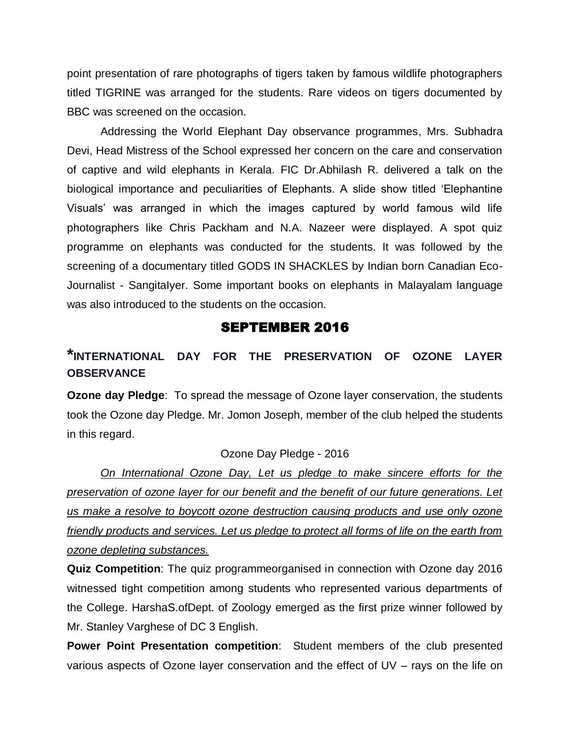point presentation of rare photographs of tigers taken by famous wildlife photographers titled TIGRINE was arranged for the students. Rare videos on tigers documented by BBC was screened on the occasion.

Addressing the World Elephant Day observance programmes, Mrs. Subhadra Devi, Head Mistress of the School expressed her concern on the care and conservation of captive and wild elephants in Kerala. FIC Dr.Abhilash R. delivered a talk on the biological importance and peculiarities of Elephants. A slide show titled 'Elephantine Visuals' was arranged in which the images captured by world famous wild life photographers like Chris Packham and N.A. Nazeer were displayed. A spot quiz programme on elephants was conducted for the students. It was followed by the screening of a documentary titled GODS IN SHACKLES by Indian born Canadian Eco-Journalist - SangitaIyer. Some important books on elephants in Malayalam language was also introduced to the students on the occasion.

#### SEPTEMBER 2016

## **\*INTERNATIONAL DAY FOR THE PRESERVATION OF OZONE LAYER OBSERVANCE**

**Ozone day Pledge**: To spread the message of Ozone layer conservation, the students took the Ozone day Pledge. Mr. Jomon Joseph, member of the club helped the students in this regard.

#### Ozone Day Pledge - 2016

*On International Ozone Day, Let us pledge to make sincere efforts for the preservation of ozone layer for our benefit and the benefit of our future generations. Let us make a resolve to boycott ozone destruction causing products and use only ozone friendly products and services. Let us pledge to protect all forms of life on the earth from ozone depleting substances.*

**Quiz Competition**: The quiz programmeorganised in connection with Ozone day 2016 witnessed tight competition among students who represented various departments of the College. HarshaS.ofDept. of Zoology emerged as the first prize winner followed by Mr. Stanley Varghese of DC 3 English.

**Power Point Presentation competition**: Student members of the club presented various aspects of Ozone layer conservation and the effect of UV – rays on the life on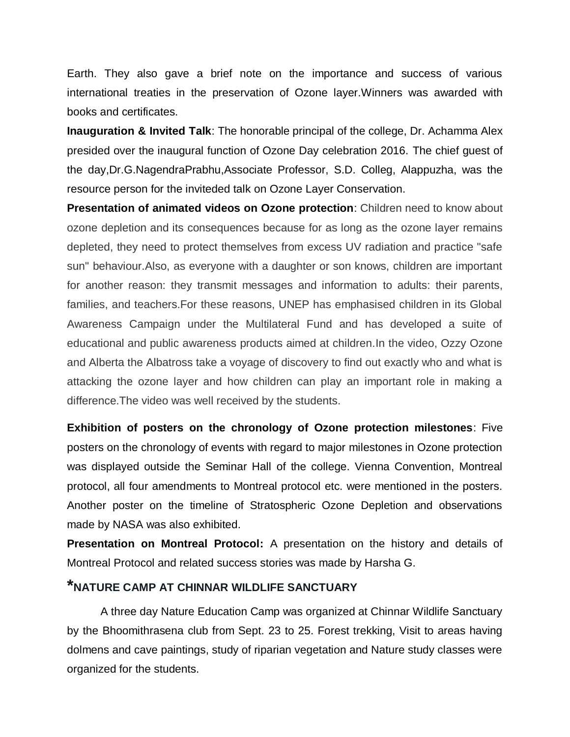Earth. They also gave a brief note on the importance and success of various international treaties in the preservation of Ozone layer.Winners was awarded with books and certificates.

**Inauguration & Invited Talk**: The honorable principal of the college, Dr. Achamma Alex presided over the inaugural function of Ozone Day celebration 2016. The chief guest of the day,Dr.G.NagendraPrabhu,Associate Professor, S.D. Colleg, Alappuzha, was the resource person for the inviteded talk on Ozone Layer Conservation.

**Presentation of animated videos on Ozone protection**: Children need to know about ozone depletion and its consequences because for as long as the ozone layer remains depleted, they need to protect themselves from excess UV radiation and practice "safe sun" behaviour.Also, as everyone with a daughter or son knows, children are important for another reason: they transmit messages and information to adults: their parents, families, and teachers.For these reasons, UNEP has emphasised children in its Global Awareness Campaign under the Multilateral Fund and has developed a suite of educational and public awareness products aimed at children.In the video, Ozzy Ozone and Alberta the Albatross take a voyage of discovery to find out exactly who and what is attacking the ozone layer and how children can play an important role in making a difference.The video was well received by the students.

**Exhibition of posters on the chronology of Ozone protection milestones**: Five posters on the chronology of events with regard to major milestones in Ozone protection was displayed outside the Seminar Hall of the college. Vienna Convention, Montreal protocol, all four amendments to Montreal protocol etc. were mentioned in the posters. Another poster on the timeline of Stratospheric Ozone Depletion and observations made by NASA was also exhibited.

**Presentation on Montreal Protocol:** A presentation on the history and details of Montreal Protocol and related success stories was made by Harsha G.

### **\*NATURE CAMP AT CHINNAR WILDLIFE SANCTUARY**

A three day Nature Education Camp was organized at Chinnar Wildlife Sanctuary by the Bhoomithrasena club from Sept. 23 to 25. Forest trekking, Visit to areas having dolmens and cave paintings, study of riparian vegetation and Nature study classes were organized for the students.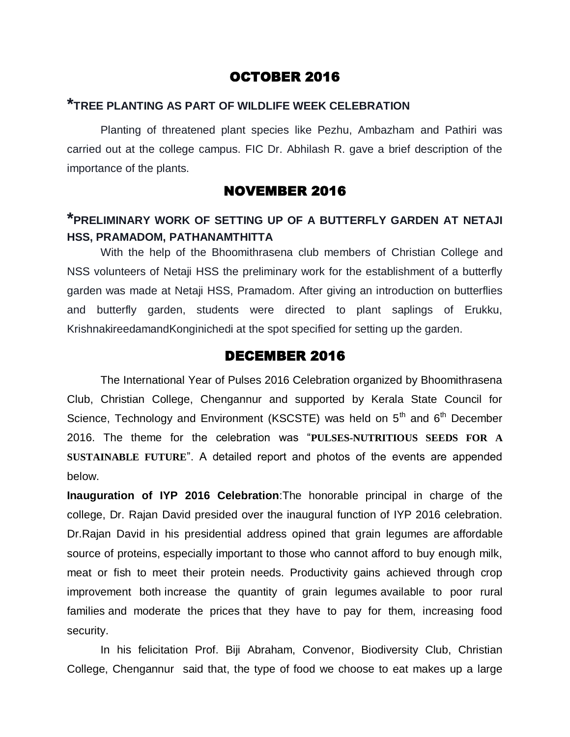### OCTOBER 2016

### **\*TREE PLANTING AS PART OF WILDLIFE WEEK CELEBRATION**

Planting of threatened plant species like Pezhu, Ambazham and Pathiri was carried out at the college campus. FIC Dr. Abhilash R. gave a brief description of the importance of the plants.

#### NOVEMBER 2016

## **\*PRELIMINARY WORK OF SETTING UP OF A BUTTERFLY GARDEN AT NETAJI HSS, PRAMADOM, PATHANAMTHITTA**

With the help of the Bhoomithrasena club members of Christian College and NSS volunteers of Netaji HSS the preliminary work for the establishment of a butterfly garden was made at Netaji HSS, Pramadom. After giving an introduction on butterflies and butterfly garden, students were directed to plant saplings of Erukku, KrishnakireedamandKonginichedi at the spot specified for setting up the garden.

#### DECEMBER 2016

The International Year of Pulses 2016 Celebration organized by Bhoomithrasena Club, Christian College, Chengannur and supported by Kerala State Council for Science, Technology and Environment (KSCSTE) was held on  $5<sup>th</sup>$  and  $6<sup>th</sup>$  December 2016. The theme for the celebration was ―**PULSES-NUTRITIOUS SEEDS FOR A SUSTAINABLE FUTURE<sup>"</sup>.** A detailed report and photos of the events are appended below.

**Inauguration of IYP 2016 Celebration**:The honorable principal in charge of the college, Dr. Rajan David presided over the inaugural function of IYP 2016 celebration. Dr.Rajan David in his presidential address opined that grain legumes are affordable source of proteins, especially important to those who cannot afford to buy enough milk, meat or fish to meet their protein needs. Productivity gains achieved through crop improvement both increase the quantity of grain legumes available to poor rural families and moderate the prices that they have to pay for them, increasing food security.

In his felicitation Prof. Biji Abraham, Convenor, Biodiversity Club, Christian College, Chengannur said that, the type of food we choose to eat makes up a large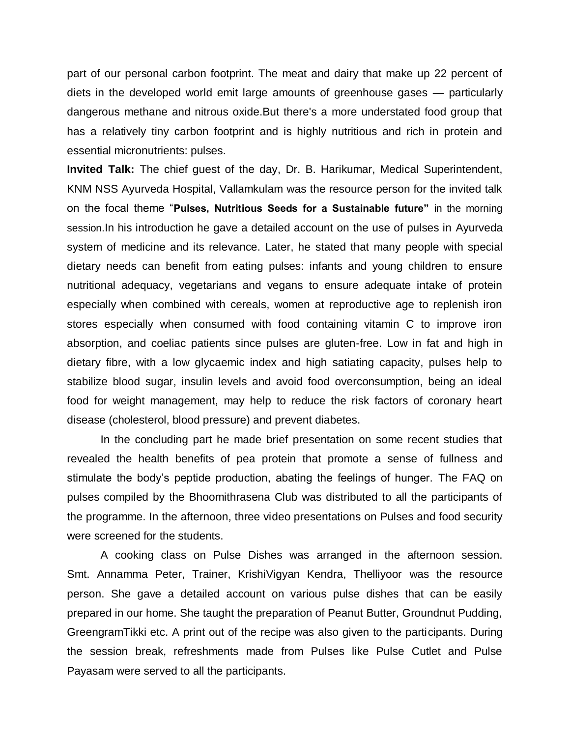part of our personal carbon footprint. The meat and dairy that make up 22 percent of diets in the developed world emit large amounts of greenhouse gases — particularly dangerous methane and nitrous oxide.But there's a more understated food group that has a relatively tiny carbon footprint and is highly nutritious and rich in protein and essential micronutrients: pulses.

**Invited Talk:** The chief guest of the day, Dr. B. Harikumar, Medical Superintendent, KNM NSS Ayurveda Hospital, Vallamkulam was the resource person for the invited talk on the focal theme ―**Pulses, Nutritious Seeds for a Sustainable future"** in the morning session.In his introduction he gave a detailed account on the use of pulses in Ayurveda system of medicine and its relevance. Later, he stated that many people with special dietary needs can benefit from eating pulses: infants and young children to ensure nutritional adequacy, vegetarians and vegans to ensure adequate intake of protein especially when combined with cereals, women at reproductive age to replenish iron stores especially when consumed with food containing vitamin C to improve iron absorption, and coeliac patients since pulses are gluten-free. Low in fat and high in dietary fibre, with a low glycaemic index and high satiating capacity, pulses help to stabilize blood sugar, insulin levels and avoid food overconsumption, being an ideal food for weight management, may help to reduce the risk factors of coronary heart disease (cholesterol, blood pressure) and prevent diabetes.

In the concluding part he made brief presentation on some recent studies that revealed the health benefits of pea protein that promote a sense of fullness and stimulate the body's peptide production, abating the feelings of hunger. The FAQ on pulses compiled by the Bhoomithrasena Club was distributed to all the participants of the programme. In the afternoon, three video presentations on Pulses and food security were screened for the students.

A cooking class on Pulse Dishes was arranged in the afternoon session. Smt. Annamma Peter, Trainer, KrishiVigyan Kendra, Thelliyoor was the resource person. She gave a detailed account on various pulse dishes that can be easily prepared in our home. She taught the preparation of Peanut Butter, Groundnut Pudding, GreengramTikki etc. A print out of the recipe was also given to the participants. During the session break, refreshments made from Pulses like Pulse Cutlet and Pulse Payasam were served to all the participants.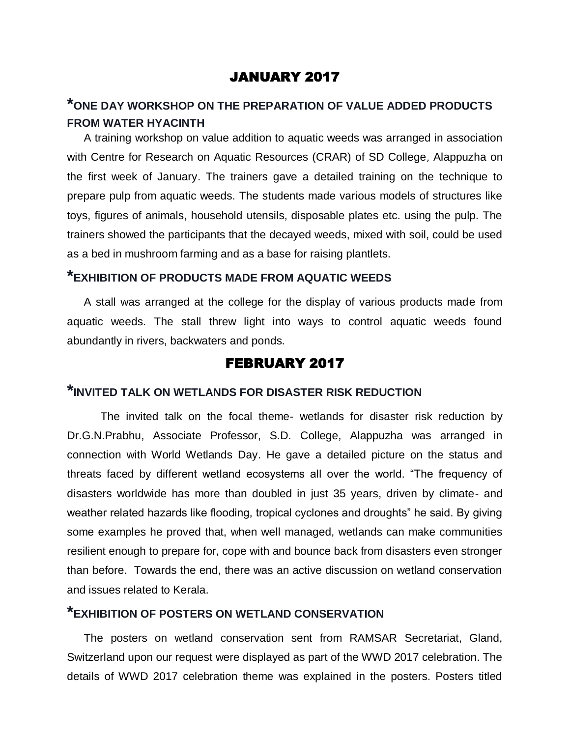### JANUARY 2017

## **\*ONE DAY WORKSHOP ON THE PREPARATION OF VALUE ADDED PRODUCTS FROM WATER HYACINTH**

A training workshop on value addition to aquatic weeds was arranged in association with Centre for Research on Aquatic Resources (CRAR) of SD College, Alappuzha on the first week of January. The trainers gave a detailed training on the technique to prepare pulp from aquatic weeds. The students made various models of structures like toys, figures of animals, household utensils, disposable plates etc. using the pulp. The trainers showed the participants that the decayed weeds, mixed with soil, could be used as a bed in mushroom farming and as a base for raising plantlets.

### **\*EXHIBITION OF PRODUCTS MADE FROM AQUATIC WEEDS**

A stall was arranged at the college for the display of various products made from aquatic weeds. The stall threw light into ways to control aquatic weeds found abundantly in rivers, backwaters and ponds.

#### FEBRUARY 2017

### **\*INVITED TALK ON WETLANDS FOR DISASTER RISK REDUCTION**

The invited talk on the focal theme- wetlands for disaster risk reduction by Dr.G.N.Prabhu, Associate Professor, S.D. College, Alappuzha was arranged in connection with World Wetlands Day. He gave a detailed picture on the status and threats faced by different wetland ecosystems all over the world. "The frequency of disasters worldwide has more than doubled in just 35 years, driven by climate- and weather related hazards like flooding, tropical cyclones and droughts" he said. By giving some examples he proved that, when well managed, wetlands can make communities resilient enough to prepare for, cope with and bounce back from disasters even stronger than before. Towards the end, there was an active discussion on wetland conservation and issues related to Kerala.

### **\*EXHIBITION OF POSTERS ON WETLAND CONSERVATION**

The posters on wetland conservation sent from RAMSAR Secretariat, Gland, Switzerland upon our request were displayed as part of the WWD 2017 celebration. The details of WWD 2017 celebration theme was explained in the posters. Posters titled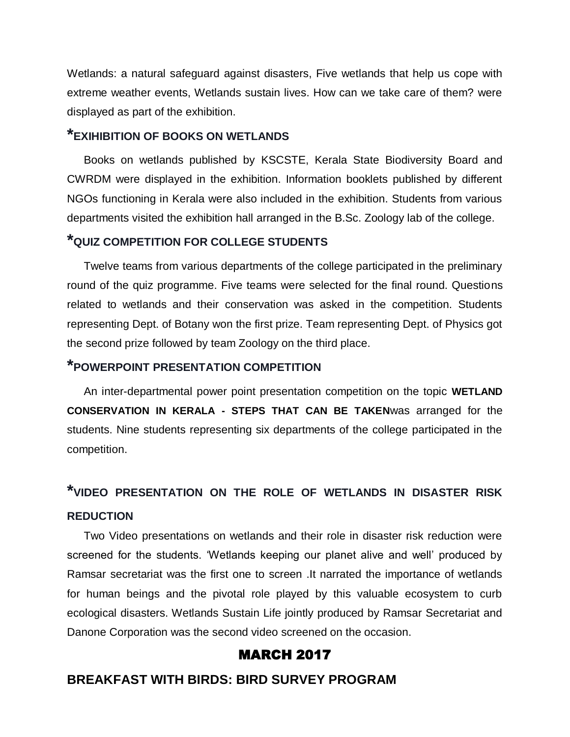Wetlands: a natural safeguard against disasters, Five wetlands that help us cope with extreme weather events, Wetlands sustain lives. How can we take care of them? were displayed as part of the exhibition.

### **\*EXIHIBITION OF BOOKS ON WETLANDS**

Books on wetlands published by KSCSTE, Kerala State Biodiversity Board and CWRDM were displayed in the exhibition. Information booklets published by different NGOs functioning in Kerala were also included in the exhibition. Students from various departments visited the exhibition hall arranged in the B.Sc. Zoology lab of the college.

## **\*QUIZ COMPETITION FOR COLLEGE STUDENTS**

Twelve teams from various departments of the college participated in the preliminary round of the quiz programme. Five teams were selected for the final round. Questions related to wetlands and their conservation was asked in the competition. Students representing Dept. of Botany won the first prize. Team representing Dept. of Physics got the second prize followed by team Zoology on the third place.

### **\*POWERPOINT PRESENTATION COMPETITION**

An inter-departmental power point presentation competition on the topic **WETLAND CONSERVATION IN KERALA - STEPS THAT CAN BE TAKEN**was arranged for the students. Nine students representing six departments of the college participated in the competition.

# **\*VIDEO PRESENTATION ON THE ROLE OF WETLANDS IN DISASTER RISK REDUCTION**

Two Video presentations on wetlands and their role in disaster risk reduction were screened for the students. 'Wetlands keeping our planet alive and well' produced by Ramsar secretariat was the first one to screen .It narrated the importance of wetlands for human beings and the pivotal role played by this valuable ecosystem to curb ecological disasters. Wetlands Sustain Life jointly produced by Ramsar Secretariat and Danone Corporation was the second video screened on the occasion.

#### MARCH 2017

### **BREAKFAST WITH BIRDS: BIRD SURVEY PROGRAM**